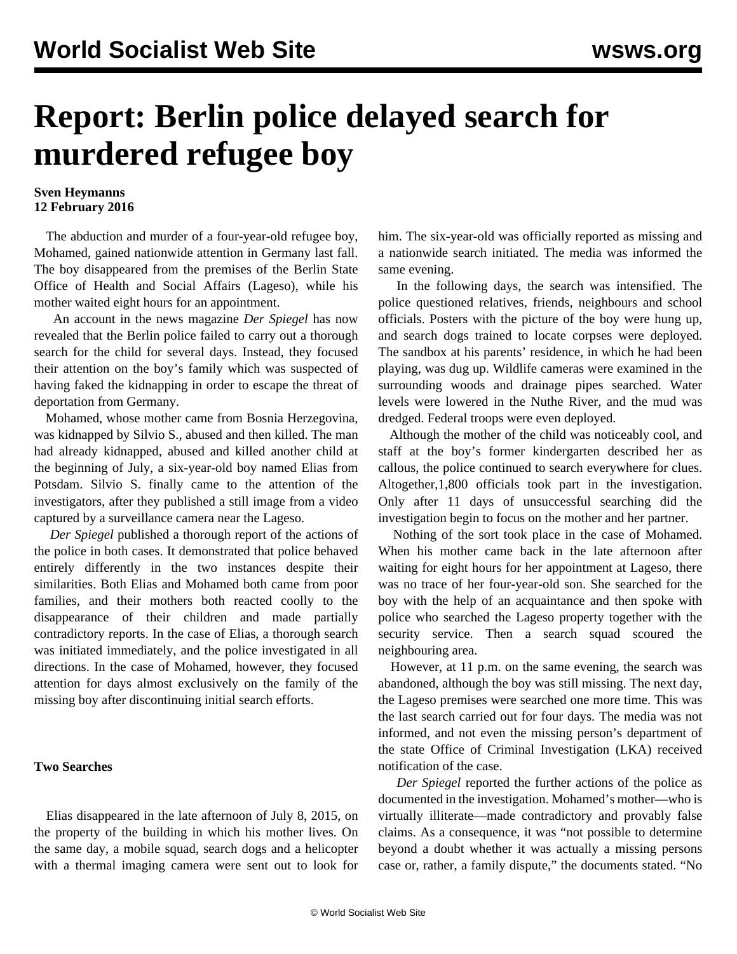# **Report: Berlin police delayed search for murdered refugee boy**

### **Sven Heymanns 12 February 2016**

 The abduction and murder of a four-year-old refugee boy, Mohamed, gained nationwide attention in Germany last fall. The boy disappeared from the premises of the Berlin State Office of Health and Social Affairs (Lageso), while his mother waited eight hours for an appointment.

 An account in the news magazine *Der Spiegel* has now revealed that the Berlin police failed to carry out a thorough search for the child for several days. Instead, they focused their attention on the boy's family which was suspected of having faked the kidnapping in order to escape the threat of deportation from Germany.

 Mohamed, whose mother came from Bosnia Herzegovina, was kidnapped by Silvio S., abused and then killed. The man had already kidnapped, abused and killed another child at the beginning of July, a six-year-old boy named Elias from Potsdam. Silvio S. finally came to the attention of the investigators, after they published a still image from a video captured by a surveillance camera near the Lageso.

 *Der Spiegel* published a thorough report of the actions of the police in both cases. It demonstrated that police behaved entirely differently in the two instances despite their similarities. Both Elias and Mohamed both came from poor families, and their mothers both reacted coolly to the disappearance of their children and made partially contradictory reports. In the case of Elias, a thorough search was initiated immediately, and the police investigated in all directions. In the case of Mohamed, however, they focused attention for days almost exclusively on the family of the missing boy after discontinuing initial search efforts.

### **Two Searches**

 Elias disappeared in the late afternoon of July 8, 2015, on the property of the building in which his mother lives. On the same day, a mobile squad, search dogs and a helicopter with a thermal imaging camera were sent out to look for him. The six-year-old was officially reported as missing and a nationwide search initiated. The media was informed the same evening.

 In the following days, the search was intensified. The police questioned relatives, friends, neighbours and school officials. Posters with the picture of the boy were hung up, and search dogs trained to locate corpses were deployed. The sandbox at his parents' residence, in which he had been playing, was dug up. Wildlife cameras were examined in the surrounding woods and drainage pipes searched. Water levels were lowered in the Nuthe River, and the mud was dredged. Federal troops were even deployed.

 Although the mother of the child was noticeably cool, and staff at the boy's former kindergarten described her as callous, the police continued to search everywhere for clues. Altogether,1,800 officials took part in the investigation. Only after 11 days of unsuccessful searching did the investigation begin to focus on the mother and her partner.

 Nothing of the sort took place in the case of Mohamed. When his mother came back in the late afternoon after waiting for eight hours for her appointment at Lageso, there was no trace of her four-year-old son. She searched for the boy with the help of an acquaintance and then spoke with police who searched the Lageso property together with the security service. Then a search squad scoured the neighbouring area.

 However, at 11 p.m. on the same evening, the search was abandoned, although the boy was still missing. The next day, the Lageso premises were searched one more time. This was the last search carried out for four days. The media was not informed, and not even the missing person's department of the state Office of Criminal Investigation (LKA) received notification of the case.

 *Der Spiegel* reported the further actions of the police as documented in the investigation. Mohamed's mother—who is virtually illiterate—made contradictory and provably false claims. As a consequence, it was "not possible to determine beyond a doubt whether it was actually a missing persons case or, rather, a family dispute," the documents stated. "No